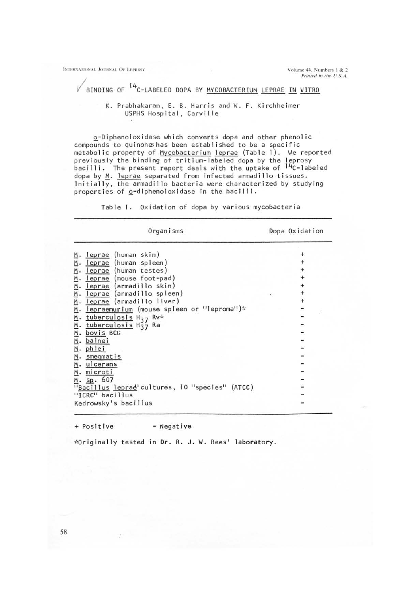**INTERNATIONAL JOURNAL OF LEPROSY <b>CONTACT ACCOUNT ACCOUNT ACCOUNT ACCOUNT ACCOUNT ACCOUNT ACCOUNT ACCOUNT ACCOUNT ACCOUNT ACCOUNT ACCOUNT ACCOUNT ACCOUNT ACCOUNT ACCOUNT ACCOUNT ACCOUNT ACCOUNT ACCOUNT ACCOUNT ACCOUNT ACC** 

Printed in the U.S.A.

## $\sqrt{\frac{H_{c}}{B}}$  BINDING OF  $14$ <sub>C</sub>-LABELED DOPA BY <u>MYCOBACTERIUM</u> LEPRAE IN VITRO

## K. Prabhakaran, E. B. Harris and W. F. Kirchheimer USPHS Hospital, Carvil Ie

Q-Diphenoloxidase which converts dopa and other phenol ic compounds to quinones has been established to be a specific metabolic property of Mycobacterium leprae (Table 1). We reported previously the binding of tritium-labeled dopa by the leprosy  $b$ acilli. The present report deals with the uptake of  $14$ C-labeled dopa by M. leprae separated from infected armadillo tissues. Initially, the armadillo bacteria were characterized by studying properties of  $Q$ -diphenoloxidase in the bacilli.

Table I. Oxidation of dopa by various mycobacteria

| Organisms                                                                       | Dopa Oxidation |
|---------------------------------------------------------------------------------|----------------|
| leprae (human skin)<br>₫.                                                       |                |
| leprae (human spleen)<br>leprae (human testes)<br>leprae (mouse foot-pad)       |                |
| leprae (armadillo skin)<br>leprae (armadillo spleen)                            |                |
| leprae (armadillo liver)<br>lepraemurium (mouse spleen or "leproma")*           |                |
| tuberculosis $H_{37}$ Rv*<br>tuberculosis H <sub>37</sub> Ra<br>bovis BCG       |                |
| balnei<br>phlei                                                                 |                |
| smeqmatis<br>ulcerans                                                           |                |
| м.<br>microti<br>sp.607<br>M.<br>"Bacillus leprad'cultures, 10 "species" (ATCC) |                |
| "ICRC" bacillus<br>Kedrowsky's bacillus                                         |                |
|                                                                                 |                |

+ Positive - Negat ive

Originally tested in Dr. R. J. W. Rees' laboratory.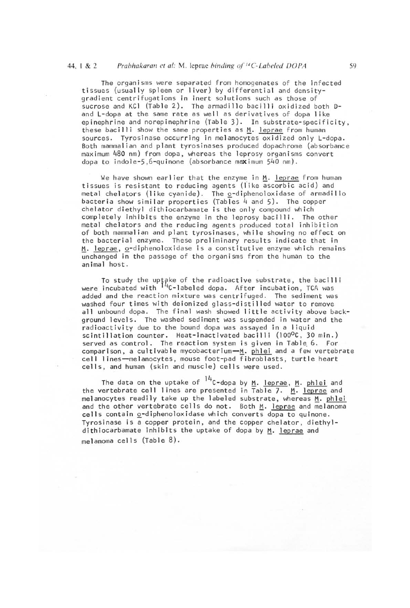The organisms were separated from homogenates of the infected tissues (usually spleen or I iver) by differential and densitygradient centrifugations in inert solutions such as those of sucrose and KCI (Table 2). The armadillo bacilli oxidized both Dand L-dopa at the same rate as well as derivatives of dopa like epinephrine and norepinephrine (Table 3). In substrate-specificity, these bacilli show the same properties as  $M$ . leprae from human sources. Tyrosinase occurring in melanocytes oxidized only L-dopa. Both mammalian and plant tyrosinases produced dopachrome (absorbance maximum 480 nm) from dopa, whereas the leprosy organisms convert dopa to indole-5,6-quinone (absorbance maximum 540 nm).

We have shown earlier that the enzyme in M. leprae from human tissues is resistant to reducing agents (like ascorbic acid) and metal chelators (like cyanide). The  $Q$ -diphenoloxidase of armadillo bacteria show similar properties (Tables 4 and 5). The copper chelator diethyl dithiocarbamate is the only compound which completely inhibits the enzyme in the leprosy bacilli. The other metal chelators and the reducing agents produced total inhibition of both mammal ian and plant tyrosinases , while showing no effect on the bacterial enzyme. These preliminary results indicate that in M. leprae, o-diphenoloxidase is a constitutive enzyme which remains unchanged in the passage of the organisms from the human to the animal host.

To study the uptake of the radioactive substrate, the bacilli were incubated with <sup>14</sup>C-labeled dopa. After incubation, TCA was added and the reaction mixture was centrifuged. The sediment was washed four times with deionized glass-distilled water to remove all unbound dopa. The final wash showed little activity above background levels. The washed sediment was suspended in water and the radioactivity due to the bound dopa was assayed in a liquid scintillation counter. Heat-inactivated bacilli (100<sup>o</sup>C, 30 min.) served as control. The reaction system is given in Table 6. For comparison, a cultivable mycobacterium $-\underline{M}$ . phlei and a few vertebrate cell lines-melanocytes, mouse foot-pad fibroblasts, turtle heart cells, and human (skin and muscle) cells were used.

The data on the uptake of  $14c$ -dopa by M. leprae, M. phlei and the vertebrate cell lines are presented in Table 7.  $\frac{M}{n}$ . leprae and melanocytes readily take up the labeled substrate, whereas  $\frac{M}{n}$ . phlei melanocytes readily take up the labeled substrate, whereas M. phlei<br>and the other vertebrate cells do not. Both M. leprae and melanoma cells contain o-diphenoloxidase which converts dopa to quinone. Tyrosinase is a copper protein, and the copper chelator, diethyldithiocarbamate inhibits the uptake of dopa by M. leprae and melanoma cells (Table 8).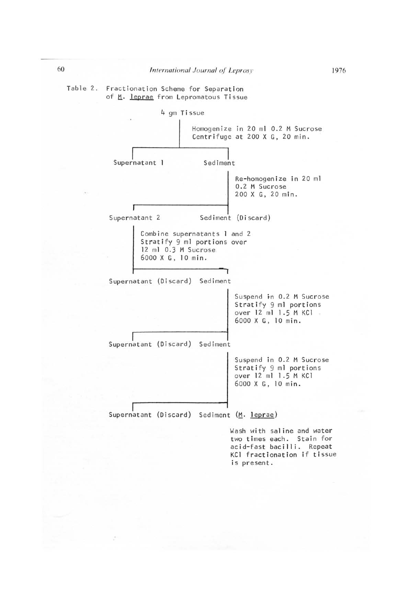Table 2. Fractionation Scheme for Separation of M. leprae from Lepromatous Tissue



Wash with sal ine and water two times each. Stain for acid-fast bacilli. Repeat KCl fractionation if tissue is present.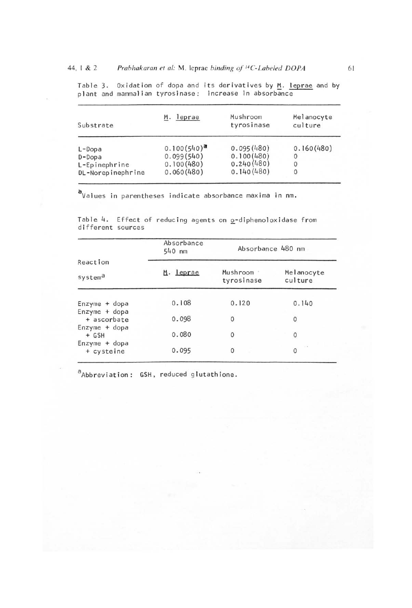Table 3. Oxidation of dopa and its derivatives by M. leprae and by plant and mammalian tyrosinase: increase in absorbance

| Substrate         | M. leprae        | Mushroom<br>tyrosinase | Melanocyte<br>culture |
|-------------------|------------------|------------------------|-----------------------|
| $L$ -Dopa         | $0.100(540)^{a}$ | 0.095(480)             | 0.160(480)            |
| $D$ -Dopa         | 0.099(540)       | 0.100(480)             | 0                     |
| L-Epinephrine     | 0.100(480)       | 0.240(480)             | 0                     |
| DL-Norepinephrine | 0.060(480)       | 0.140(480)             | 0                     |

~Values in parentheses indicate absorbance maxima in nm.

Table 4. Effect of reducing agents on o-diphenoloxidase from different sources

|                               | Absorbance<br>540 nm | Absorbance 480 nm      |                       |  |
|-------------------------------|----------------------|------------------------|-----------------------|--|
| Reaction                      |                      |                        |                       |  |
| systema                       | M. leprae            | Mushroom<br>tyrosinase | Melanocyte<br>culture |  |
| $Enzyme + dopa$               | 0.108                | 0.120                  | 0.140                 |  |
| Enzyme + dopa<br>+ ascorbate  | 0.098                | $\circ$                | $\circ$               |  |
| Enzyme + dopa<br>$+$ GSH      | 0.080                | 0                      | $\circ$               |  |
| $Enzyme + dopa$<br>+ cysteine | 0.095                | $\mathbf{0}$           | $\sim$<br>0           |  |

<sup>a</sup>Abbreviation: GSH, reduced glutathione.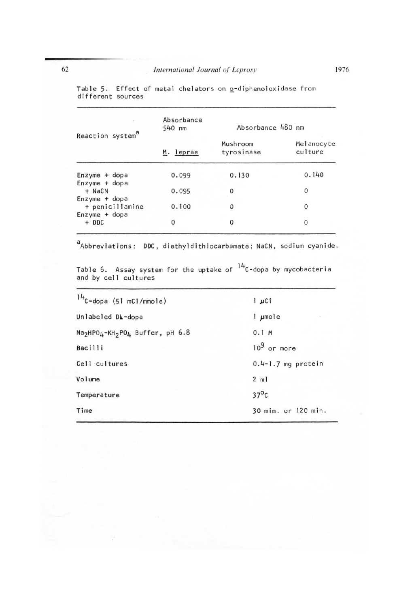| ī,                               | Absorbance<br>$540$ nm | Absorbance 480 nm      |                       |
|----------------------------------|------------------------|------------------------|-----------------------|
| Reaction system <sup>a</sup>     | M. leprae              | Mushroom<br>tyrosinase | Melanocyte<br>culture |
| $Enzyme + dopa$                  | 0.099                  | 0.130                  | 0.140                 |
| Enzyme + dopa<br>$+$ NaCN        | 0.095                  | 0                      | 0                     |
| Enzyme + dopa<br>+ penicillamine | 0.100                  | 0                      | 0                     |
| Enzyme + dopa<br>$+$ DDC         | 0                      | 0                      | 0                     |

Table 5. Effect of metal chelators on <u>o</u>-diphenoloxidase from different sources

 $a$ Abbreviations: DDC, diethyldithiocarbamate; NaCN, sodium cyanide.

Table 6. Assay system for the uptake of <sup>14</sup>C-dopa by mycobacteria and by cell cultures

| $14$ C-dopa (51 mCi/mmole)                                                       | T JICT                 |
|----------------------------------------------------------------------------------|------------------------|
| Unlabeled DL-dopa                                                                | l µmole                |
| Na <sub>2</sub> HPO <sub>4</sub> -KH <sub>2</sub> PO <sub>4</sub> Buffer, pH 6.8 | 0.1 M                  |
| <b>Bacilli</b>                                                                   | $10^9$ or more         |
| Cell cultures                                                                    | $0.4 - 1.7$ mg protein |
| Volume                                                                           | $2$ ml                 |
| Temperature                                                                      | $37^{\circ}$ c         |
| Time                                                                             | 30 min. or 120 min.    |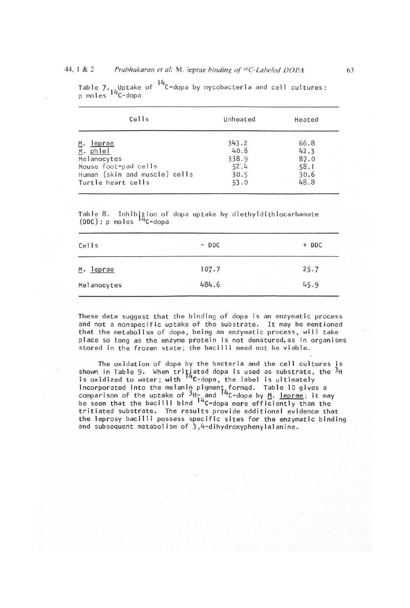## 44, 1 & 2 *Prabhakaran et al: M. leprae binding of <sup>14</sup>C-Labeled DOPA*

| Cells                         | Unheated | Heated |
|-------------------------------|----------|--------|
| M. leprae                     | 343.2    | 66.8   |
| M. phlei                      | 40.8     | 42.3   |
| Melanocytes                   | 338.9    | 87.0   |
| Mouse foot-pad cells          | 52:4     | 58.1   |
| Human (skin and muscle) cells | 30.5     | 30.6   |
| Turtle heart cells            | 53.0     | 48.8   |

Table 7. Uptake of  $14$ C-dopa by mycobacteria and cell cultures: p moles <sup>14</sup>C-dopa

Table 8. Inhibition of dopa uptake by diethyldithiocarbamate (DDC): p moles <sup>14</sup>C-dopa

| Cells       | $-$ DDC    | $+$ DDC |
|-------------|------------|---------|
| M. leprae   | 107.7<br>1 | 25.7    |
| Melanocytes | 484.6      | 45.9    |

These data suggest that the binding of dopa is an enzymatic process and not a nonspecific uptake of the substrate. It may be mentioned that the metabol ism of dopa, being an enzymatic process, will take place so long as the enzyme protein is not denatured, as in organisms stored in the frozen state; the bacilli need not be viable.

The oxidation of dopa by the bacteria and the cell cultures is shown in Table 9. When tritiated dopa is used as substrate, the  $^3\mathrm{H}$ is oxidized to water; with <sup>14</sup>C-dopa, the label is ultimately incorporated into the melanin pigment formed. Table 10 gives a comparison of the uptake of  ${}^{3}$ H-, and  ${}^{14}$ C-dopa by <u>M</u>. <u>leprae</u>; it may be seen that the bacilli bind <sup>14</sup>C-dopa more efficiently than the tritiated substrate. The results provide additional evidence that the leprosy bacilli possess specific sites for the enzymatic binding and subsequent metabol ism of 3,4-dihydroxyphenylalanine.